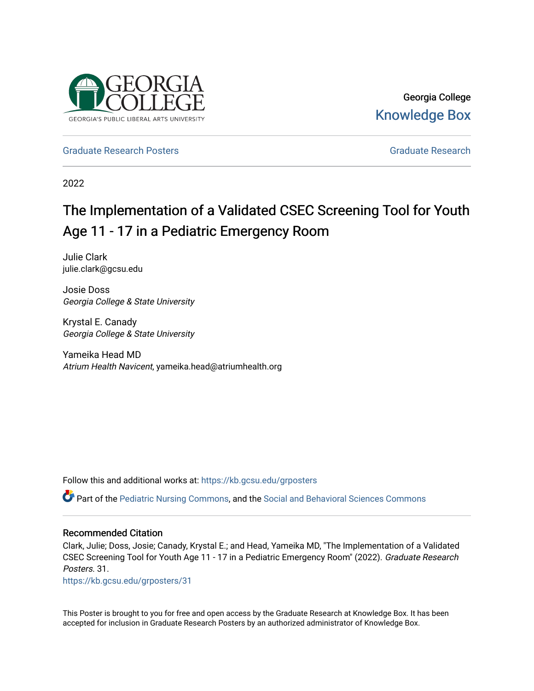

Georgia College [Knowledge Box](https://kb.gcsu.edu/) 

[Graduate Research Posters](https://kb.gcsu.edu/grposters) [Graduate Research](https://kb.gcsu.edu/gr) **Craduate Research** Graduate Research

2022

## The Implementation of a Validated CSEC Screening Tool for Youth Age 11 - 17 in a Pediatric Emergency Room

Julie Clark julie.clark@gcsu.edu

Josie Doss Georgia College & State University

Krystal E. Canady Georgia College & State University

Yameika Head MD Atrium Health Navicent, yameika.head@atriumhealth.org

Follow this and additional works at: [https://kb.gcsu.edu/grposters](https://kb.gcsu.edu/grposters?utm_source=kb.gcsu.edu%2Fgrposters%2F31&utm_medium=PDF&utm_campaign=PDFCoverPages) 

Part of the [Pediatric Nursing Commons](http://network.bepress.com/hgg/discipline/723?utm_source=kb.gcsu.edu%2Fgrposters%2F31&utm_medium=PDF&utm_campaign=PDFCoverPages), and the [Social and Behavioral Sciences Commons](http://network.bepress.com/hgg/discipline/316?utm_source=kb.gcsu.edu%2Fgrposters%2F31&utm_medium=PDF&utm_campaign=PDFCoverPages) 

## Recommended Citation

Clark, Julie; Doss, Josie; Canady, Krystal E.; and Head, Yameika MD, "The Implementation of a Validated CSEC Screening Tool for Youth Age 11 - 17 in a Pediatric Emergency Room" (2022). Graduate Research Posters. 31.

[https://kb.gcsu.edu/grposters/31](https://kb.gcsu.edu/grposters/31?utm_source=kb.gcsu.edu%2Fgrposters%2F31&utm_medium=PDF&utm_campaign=PDFCoverPages)

This Poster is brought to you for free and open access by the Graduate Research at Knowledge Box. It has been accepted for inclusion in Graduate Research Posters by an authorized administrator of Knowledge Box.